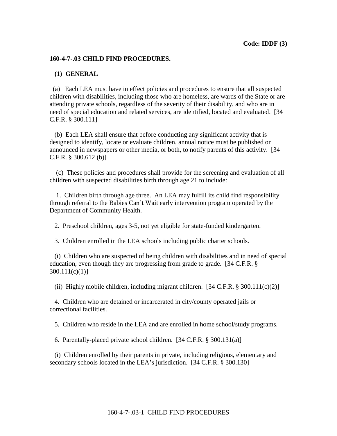## **160-4-7-.03 CHILD FIND PROCEDURES.**

## **(1) GENERAL**

(a) Each LEA must have in effect policies and procedures to ensure that all suspected children with disabilities, including those who are homeless, are wards of the State or are attending private schools, regardless of the severity of their disability, and who are in need of special education and related services, are identified, located and evaluated. [34 C.F.R. § 300.111]

 (b) Each LEA shall ensure that before conducting any significant activity that is designed to identify, locate or evaluate children, annual notice must be published or announced in newspapers or other media, or both, to notify parents of this activity. [34 C.F.R. § 300.612 (b)]

 (c) These policies and procedures shall provide for the screening and evaluation of all children with suspected disabilities birth through age 21 to include:

 1. Children birth through age three. An LEA may fulfill its child find responsibility through referral to the Babies Can't Wait early intervention program operated by the Department of Community Health.

2. Preschool children, ages 3-5, not yet eligible for state-funded kindergarten.

3. Children enrolled in the LEA schools including public charter schools.

 (i) Children who are suspected of being children with disabilities and in need of special education, even though they are progressing from grade to grade. [34 C.F.R. § 300.111(c)(1)]

(ii) Highly mobile children, including migrant children.  $[34 \text{ C.F.R.} \$   $300.111(c)(2)]$ 

 4. Children who are detained or incarcerated in city/county operated jails or correctional facilities.

5. Children who reside in the LEA and are enrolled in home school/study programs.

6. Parentally-placed private school children. [34 C.F.R. § 300.131(a)]

 (i) Children enrolled by their parents in private, including religious, elementary and secondary schools located in the LEA's jurisdiction. [34 C.F.R. § 300.130]